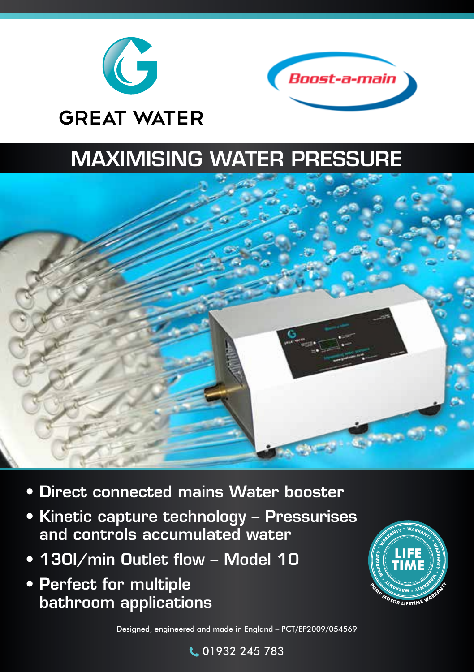



## MAXIMISING WATER PRESSURE



- Direct connected mains Water booster
- Kinetic capture technology Pressurises and controls accumulated water
- 130I/min Outlet flow Model 10
- Perfect for multiple bathroom applications



Designed, engineered and made in England – PCT/EP2009/054569

01932 245 783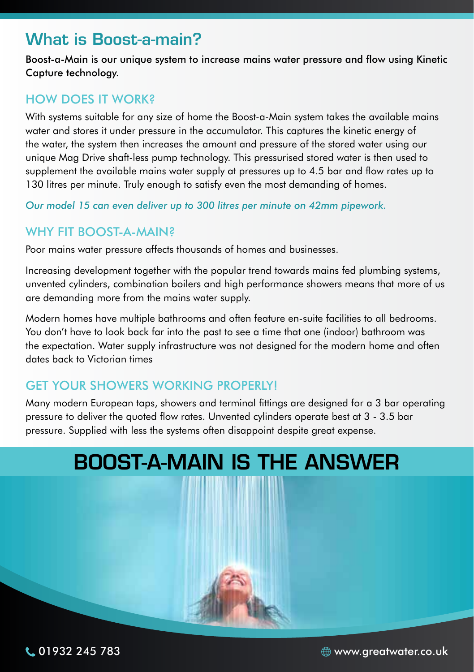## What is Boost-a-main?

Boost-a-Main is our unique system to increase mains water pressure and flow using Kinetic Capture technology.

#### HOW DOES IT WORK?

With systems suitable for any size of home the Boost-a-Main system takes the available mains water and stores it under pressure in the accumulator. This captures the kinetic energy of the water, the system then increases the amount and pressure of the stored water using our unique Mag Drive shaft-less pump technology. This pressurised stored water is then used to supplement the available mains water supply at pressures up to 4.5 bar and flow rates up to 130 litres per minute. Truly enough to satisfy even the most demanding of homes.

*Our model 15 can even deliver up to 300 litres per minute on 42mm pipework.*

#### WHY FIT **BOOST-A-MAIN?**

Poor mains water pressure affects thousands of homes and businesses.

Increasing development together with the popular trend towards mains fed plumbing systems, unvented cylinders, combination boilers and high performance showers means that more of us are demanding more from the mains water supply.

Modern homes have multiple bathrooms and often feature en-suite facilities to all bedrooms. You don't have to look back far into the past to see a time that one (indoor) bathroom was the expectation. Water supply infrastructure was not designed for the modern home and often dates back to Victorian times

#### GET YOUR SHOWERS WORKING PROPERLY!

Many modern European taps, showers and terminal fittings are designed for a 3 bar operating pressure to deliver the quoted flow rates. Unvented cylinders operate best at 3 - 3.5 bar pressure. Supplied with less the systems often disappoint despite great expense.



01932 245 783 www.greatwater.co.uk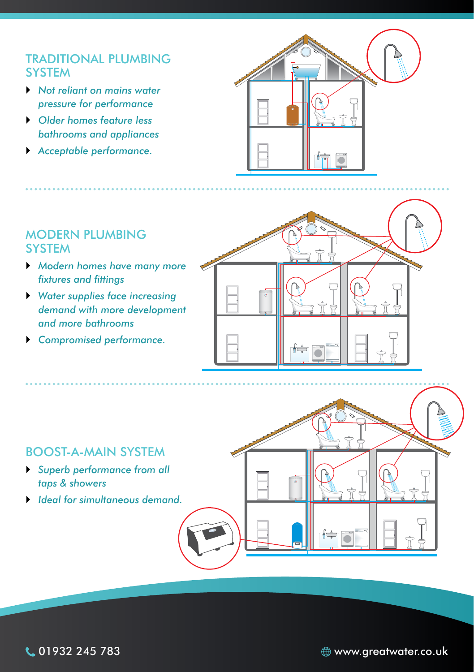#### TRADITIONAL PLUMBING **SYSTEM**

- ` *Not reliant on mains water pressure for performance*
- ` *Older homes feature less bathrooms and appliances*
- ` *Acceptable performance.*



#### MODERN PLUMBING **SYSTEM**

- ` *Modern homes have many more fixtures and fittings*
- ` *Water supplies face increasing demand with more development and more bathrooms*
- ` *Compromised performance.*



#### BOOST-A-MAIN SYSTEM

- ` *Superb performance from all taps & showers*
- ` *Ideal for simultaneous demand.*



01932 245 783 www.greatwater.co.uk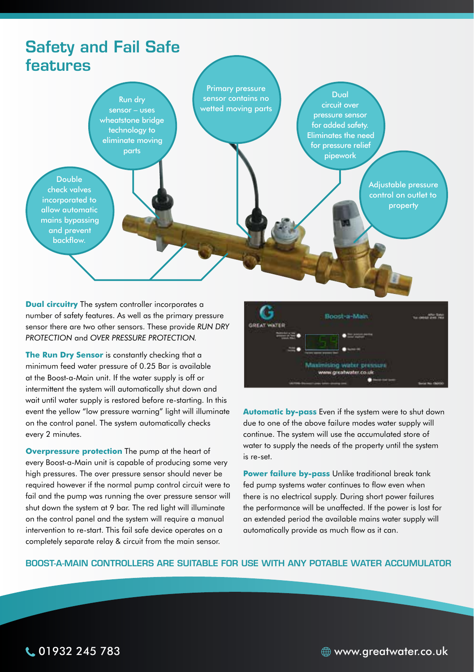## Safety and Fail Safe features

Run dry sensor – uses wheatstone bridge technology to eliminate moving parts

Primary pressure sensor contains no wetted moving parts

Dual circuit over pressure sensor for added safety. Eliminates the need for pressure relief pipework

> Adjustable pressure control on outlet to property

check valves incorporated to allow automatic mains bypassing and prevent backflow.

Double

**Dual circuitry** The system controller incorporates a number of safety features. As well as the primary pressure sensor there are two other sensors. These provide *RUN DRY PROTECTION* and *OVER PRESSURE PROTECTION.*

**The Run Dry Sensor** is constantly checking that a minimum feed water pressure of 0.25 Bar is available at the Boost-a-Main unit. If the water supply is off or intermittent the system will automatically shut down and wait until water supply is restored before re-starting. In this event the yellow "low pressure warning" light will illuminate on the control panel. The system automatically checks every 2 minutes.

**Overpressure protection** The pump at the heart of every Boost-a-Main unit is capable of producing some very high pressures. The over pressure sensor should never be required however if the normal pump control circuit were to fail and the pump was running the over pressure sensor will shut down the system at 9 bar. The red light will illuminate on the control panel and the system will require a manual intervention to re-start. This fail safe device operates on a completely separate relay & circuit from the main sensor.



**Automatic by-pass** Even if the system were to shut down due to one of the above failure modes water supply will continue. The system will use the accumulated store of water to supply the needs of the property until the system is re-set.

**Power failure by-pass** Unlike traditional break tank fed pump systems water continues to flow even when there is no electrical supply. During short power failures the performance will be unaffected. If the power is lost for an extended period the available mains water supply will automatically provide as much flow as it can.

#### BOOST-A-MAIN CONTROLLERS ARE SUITABLE FOR USE WITH ANY POTABLE WATER ACCUMULATOR

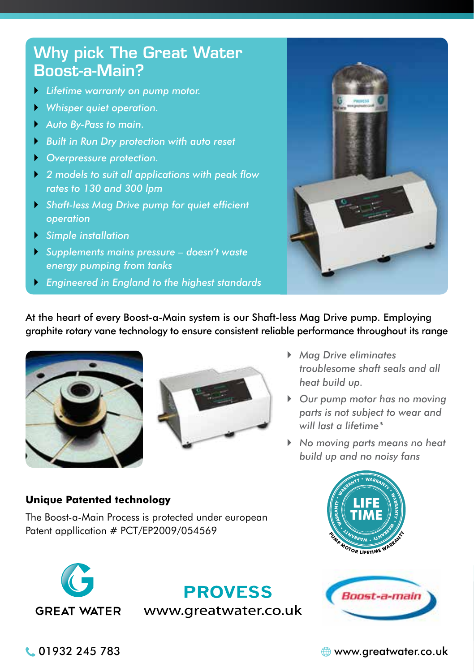## Why pick The Great Water Boost-a-Main?

- ` *Lifetime warranty on pump motor.*
- ` *Whisper quiet operation.*
- ` *Auto By-Pass to main.*
- ` *Built in Run Dry protection with auto reset*
- ` *Overpressure protection.*
- ` *2 models to suit all applications with peak flow rates to 130 and 300 lpm*
- ` *Shaft-less Mag Drive pump for quiet efficient operation*
- ` *Simple installation*
- ` *Supplements mains pressure doesn't waste energy pumping from tanks*
- ` *Engineered in England to the highest standards*



At the heart of every Boost-a-Main system is our Shaft-less Mag Drive pump. Employing graphite rotary vane technology to ensure consistent reliable performance throughout its range





- ` *Mag Drive eliminates troublesome shaft seals and all heat build up.*
- ` *Our pump motor has no moving parts is not subject to wear and will last a lifetime\**
- ` *No moving parts means no heat build up and no noisy fans*

#### **Unique Patented technology**

The Boost-a-Main Process is protected under european Patent appllication # PCT/EP2009/054569



**PROVESS** www.greatwater.co.uk





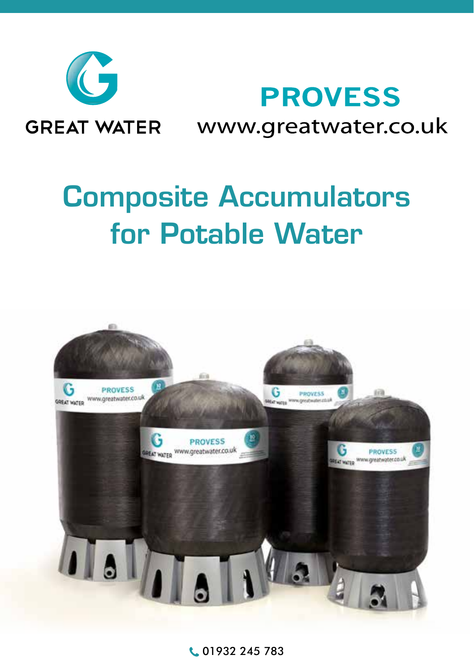

**GREAT WATER** 

# **PROVESS** www.greatwater.co.uk

# Composite Accumulators for Potable Water



**C.** 01932 245 783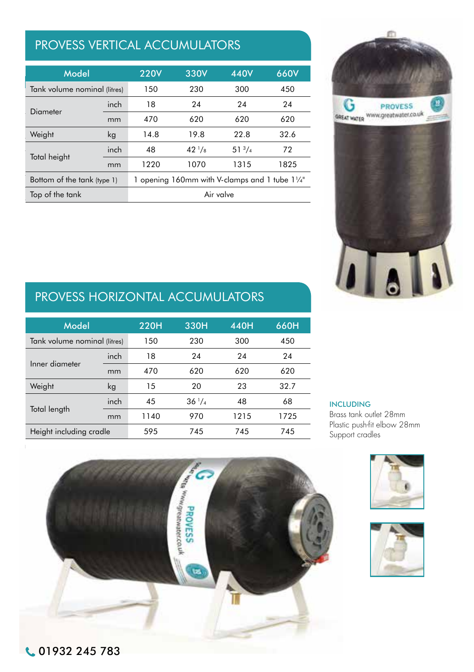### PROVESS VERTICAL ACCUMULATORS

| Model                        |                                                | <b>220V</b> | 330V            | 440V        | 660V |  |
|------------------------------|------------------------------------------------|-------------|-----------------|-------------|------|--|
| Tank volume nominal (litres) |                                                | 150         | 230             | 300         | 450  |  |
| Diameter                     | inch                                           | 18          | 24              | 24          | 24   |  |
|                              | mm                                             | 470         | 620             | 620         | 620  |  |
| Weight                       | kg                                             | 14.8        | 19.8            | 22.8        | 32.6 |  |
| Total height                 | inch                                           | 48          | $42\frac{1}{8}$ | $51^{3}/_4$ | 72   |  |
|                              | mm                                             | 1220        | 1070            | 1315        | 1825 |  |
| Bottom of the tank (type 1)  | 1 opening 160mm with V-clamps and 1 tube 11/4" |             |                 |             |      |  |
| Top of the tank              | Air valve                                      |             |                 |             |      |  |



#### BASIC expansion tank 60 L 115 L 150 L 230 L 300 L 450 L PROVESS HORIZONTAL ACCUMULATORS

| Model                        |      | 330H               | 440H | 660H |                                                |
|------------------------------|------|--------------------|------|------|------------------------------------------------|
| Tank volume nominal (litres) |      | 230                | 300  | 450  |                                                |
| inch                         | 18   | 24                 | 24   | 24   |                                                |
| mm                           | 470  | 620                | 620  | 620  |                                                |
| kg                           | 15   | 20                 | 23   | 32.7 |                                                |
| inch                         | 45   | $36^{1}/4$         | 48   | 68   | <b>INCLUDING</b>                               |
| mm                           | 1140 | 970                | 1215 | 1725 | Brass tank outlet 28mm                         |
| Height including cradle      |      | 745                | 745  | 745  | Plastic push-fit elbow 28mm<br>Support cradles |
|                              |      | 220H<br>150<br>595 |      |      |                                                |

**PROVESS**<br>SSINORES

#### **INCLUDING** liter 115 150 230 300 450

**OPTIONS** 

ī

Brass tank outlet 28 mm Plastic push-fi t elbow 28 mm Brass male coupler m28 x 1"





Brass tank outlet 28 mm Plastic push-fi t elbow 28 mm Brass male coupler m28 x 1" Galvanised support set 18" or 24"

Bottom of the tank (type 1) 1 opening 100 mm with V-clamps and 1 tube 5/4" with V-clamps and 1 tube 5/4" with V-clamps and 1 tube 5/4" with V-clamps and 1 tube 5/4" with V-clamps and 1 tube 5/4" with V-clamps and 1 tube 5/

Total height inch 25,59 38,38 48,03 42,13 51,77 71,85

Bottom lid with 2 openings and 2 tubes 2 tubes 5/4" (type 2) (type 2) (type 2) (type 2) (type 2) (type 2) (type 2) (type 2) (type 2) (type 2) (type 2) (type 2) (type 2) (type 2) (type 2) (type 2) (type 2) (type 2) (type 2)

Top of the tank Air values of the tank Air values of the tank Air values of the tank Air values of the tank Air

Flow through bottom lid with 2 openings and 2 tubes 5/4" (type 3) (type 3) (type 3) (type 3) (type 3) (type 3)

Flow through bottom light bottom light bottom light bottom light bottom light bottom light bottom in the second second second second second second second second second second second second second second second second secon

mm 650 975 1220 1070 1315 1825